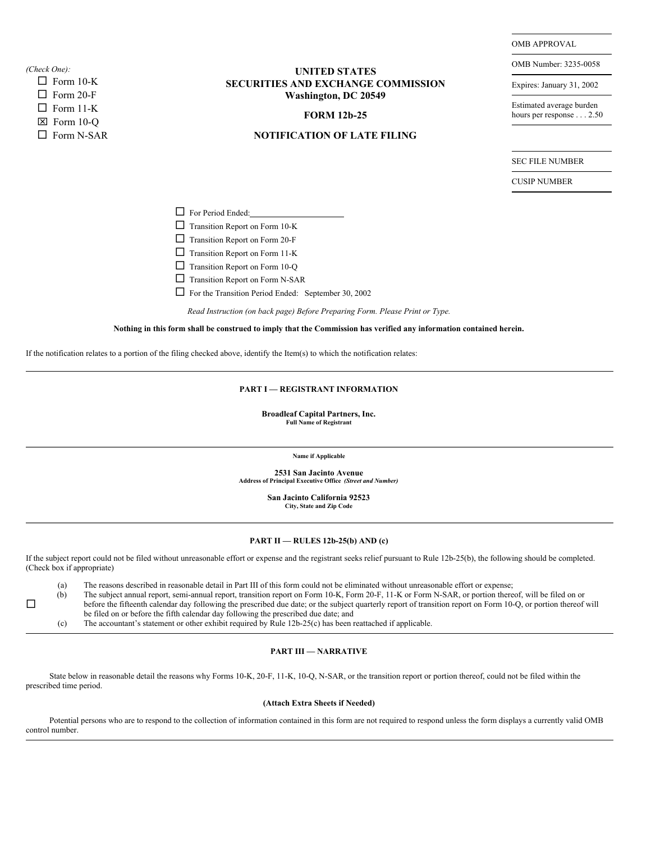*(Check One):*

 $\Box$ 

 $\square$  Form 10-K  $\square$  Form 20-F  $\square$  Form 11-K  $\boxtimes$  Form 10-O  $\square$  Form N-SAR

## **UNITED STATES SECURITIES AND EXCHANGE COMMISSION Washington, DC 20549**

### **FORM 12b-25**

# **NOTIFICATION OF LATE FILING**

OMB APPROVAL

OMB Number: 3235-0058

Expires: January 31, 2002

Estimated average burden hours per response . . . 2.50

SEC FILE NUMBER

CUSIP NUMBER

□ For Period Ended:

 $\Box$  Transition Report on Form 10-K

 $\Box$  Transition Report on Form 10-Q

 $\Box$  Transition Report on Form N-SAR

 $\Box$  For the Transition Period Ended: September 30, 2002

Nothing in this form shall be construed to imply that the Commission has verified any information contained herein.

If the notification relates to a portion of the filing checked above, identify the Item(s) to which the notification relates:

#### **PART I — REGISTRANT INFORMATION**

**Broadleaf Capital Partners, Inc. Full Name of Registrant**

**Name if Applicable**

**2531 San Jacinto Avenue Address of Principal Executive Office** *(Street and Number)*

> **San Jacinto California 92523 City, State and Zip Code**

#### **PART II — RULES 12b-25(b) AND (c)**

If the subject report could not be filed without unreasonable effort or expense and the registrant seeks relief pursuant to Rule 12b-25(b), the following should be completed. (Check box if appropriate)

(a) The reasons described in reasonable detail in Part III of this form could not be eliminated without unreasonable effort or expense;<br>(b) The subject annual report, semi-annual report, transition report on Form 10-K, For The subject annual report, semi-annual report, transition report on Form 10-K, Form 20-F, 11-K or Form N-SAR, or portion thereof, will be filed on or before the fifteenth calendar day following the prescribed due date; or the subject quarterly report of transition report on Form 10-Q, or portion thereof will be filed on or before the fifth calendar day following the prescribed due date; and

(c) The accountant's statement or other exhibit required by Rule 12b-25(c) has been reattached if applicable.

### **PART III — NARRATIVE**

State below in reasonable detail the reasons why Forms 10-K, 20-F, 11-K, 10-Q, N-SAR, or the transition report or portion thereof, could not be filed within the prescribed time period.

### **(Attach Extra Sheets if Needed)**

Potential persons who are to respond to the collection of information contained in this form are not required to respond unless the form displays a currently valid OMB control number.

 $\Box$  Transition Report on Form 20-F

 $\Box$  Transition Report on Form 11-K

*Read Instruction (on back page) Before Preparing Form. Please Print or Type.*